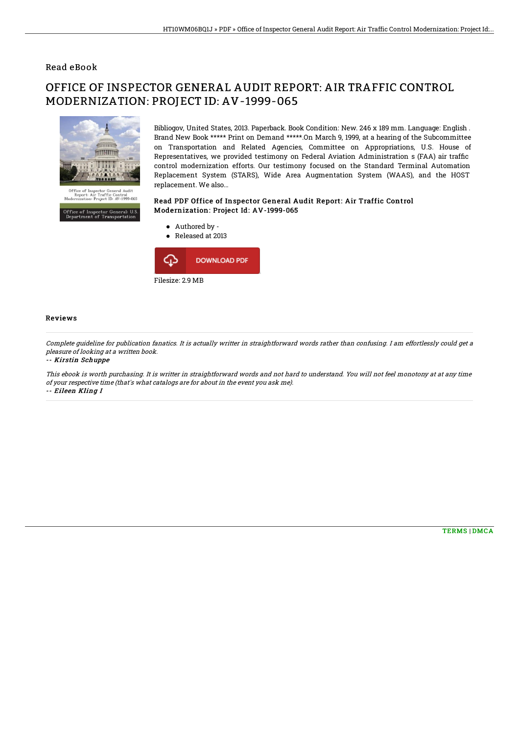### Read eBook

# OFFICE OF INSPECTOR GENERAL AUDIT REPORT: AIR TRAFFIC CONTROL MODERNIZATION: PROJECT ID: AV-1999-065



Office of Inspector General: U.S.<br>Department of Transportation

Bibliogov, United States, 2013. Paperback. Book Condition: New. 246 x 189 mm. Language: English . Brand New Book \*\*\*\*\* Print on Demand \*\*\*\*\*.On March 9, 1999, at a hearing of the Subcommittee on Transportation and Related Agencies, Committee on Appropriations, U.S. House of Representatives, we provided testimony on Federal Aviation Administration s (FAA) air traffic control modernization efforts. Our testimony focused on the Standard Terminal Automation Replacement System (STARS), Wide Area Augmentation System (WAAS), and the HOST replacement. We also...

### Read PDF Office of Inspector General Audit Report: Air Traffic Control Modernization: Project Id: AV-1999-065

- Authored by -
- Released at 2013



#### Reviews

Complete guideline for publication fanatics. It is actually writter in straightforward words rather than confusing. I am effortlessly could get <sup>a</sup> pleasure of looking at <sup>a</sup> written book.

-- Kirstin Schuppe

This ebook is worth purchasing. It is writter in straightforward words and not hard to understand. You will not feel monotony at at any time of your respective time (that's what catalogs are for about in the event you ask me). -- Eileen Kling I